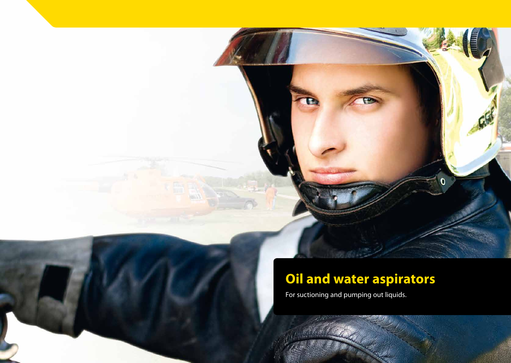# **Oil and water aspirators**

For suctioning and pumping out liquids.



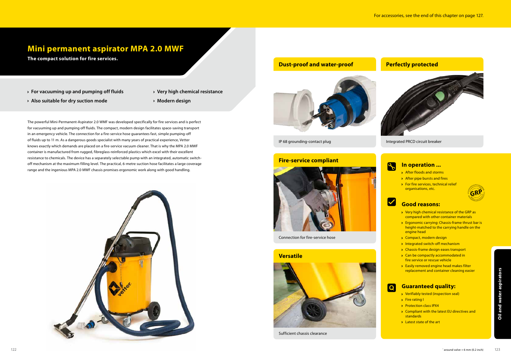



**The compact solution for fire services.**

### **Mini permanent aspirator MPA 2.0 MWF**

The powerful Mini-Permanent-Aspirator 2.0 WMF was developed specifically for fire services and is perfect for vacuuming up and pumping off fluids. The compact, modern design facilitates space-saving transport in an emergency vehicle. The connection for a fire-service hose guarantees fast, simple pumping-off of fluids up to 11 m. As a dangerous goods specialist with many years of practical experience, Vetter knows exactly which demands are placed on a fire-service vacuum cleaner. That is why the MPA 2.0 MWF container is manufactured from rugged, fibreglass-reinforced plastics which excel with their excellent resistance to chemicals. The device has a separately selectable pump with an integrated, automatic switchoff mechanism at the maximum filling level. The practical, 6-metre suction hose facilitates a large coverage range and the ingenious MPA 2.0 MWF chassis promises ergonomic work along with good handling.

- After floods and storms
- After pipe bursts and fires
- **For fire services, technical relief** organisations, etc.

- ◆ Very high chemical resistance of the GRP as compared with other container materials
- **Example 2** Ergonomic carrying: Chassis-frame thrust bar is height-matched to the carrying handle on the engine head
- ◆ Compact, modern design
- Integrated switch-off mechanism
- **Exercise** Chassis-frame design eases transport
- **► Can be compactly accommodated in** fire service or rescue vehicle
- **Easily removed engine head makes filter** replacement and container cleaning easier

- Verifiably tested (inspection seal)
- **>** Fire rating I
- Protection class IPX4
- ◆ Compliant with the latest EU directives and standards
- **Latest state of the art**

- **For vacuuming up and pumping off fluids**
- **Very high chemical resistance**

- **Also suitable for dry suction mode**
- **Modern design**

IP 68 grounding-contact plug Integrated PRCD circuit breaker





Connection for fire-service hose



Sufficient chassis clearance

### **Fire-service compliant**



### **Versatile**

#### **In operation ...**

### **Good reasons:**

#### **Guaranteed quality:**



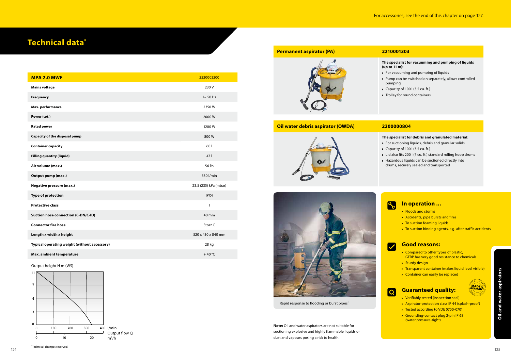## **Technical data\***

| <b>MPA 2.0 MWF</b>                           | 2220003200            |
|----------------------------------------------|-----------------------|
| <b>Mains voltage</b>                         | 230 V                 |
| <b>Frequency</b>                             | $1 \sim 50$ Hz        |
| Max. performance                             | 2350W                 |
| Power (tot.)                                 | 2000W                 |
| <b>Rated power</b>                           | 1200W                 |
| Capacity of the disposal pump                | 800W                  |
| <b>Container capacity</b>                    | 601                   |
| <b>Filling quantity (liquid)</b>             | 47                    |
| Air volume (max.)                            | 56 l/s                |
| Output pump (max.)                           | 330 l/min             |
| <b>Negative pressure (max.)</b>              | 23.5 (235) kPa (mbar) |
| <b>Type of protection</b>                    | IPX4                  |
| <b>Protective class</b>                      | T                     |
| <b>Suction hose connection (C-DN/C-ID)</b>   | 40 mm                 |
| <b>Connector fire hose</b>                   | Storz C               |
| Length x width x height                      | 520 x 430 x 840 mm    |
| Typical operating weight (without accessory) | 28 kg                 |
| Max. ambient temperature                     | $+40^{\circ}$ C       |



- Compared to other types of plastic, GFRP has very good resistance to chemicals
- > Sturdy design
- Transparent container (makes liquid level visible)
- Container can easily be replaced



Output height H m (WS)



Rapid response to flooding or burst pipes.\*

#### **In operation ...**

- **Floods and storms**
- Accidents, pipe bursts and fires
- $\rightarrow$  To suction foaming liquids
- ◆ To suction binding agents, e.g. after traffic accidents



- For vacuuming and pumping of liquids
- Pump can be switched on separately, allows controlled pumping
- Capacity of 100 l (3.5 cu. ft.)
- > Trolley for round containers

#### **Good reasons:**

- **Guaranteed quality:** ◆ Verifiably tested (inspection seal)
- Aspirator-protection class IP 44 (splash-proof)
- ◆ Tested according to VDE 0700-0701
- ◆ Grounding-contact plug 2-pin IP 68 (water pressure-tight)

**Note:** Oil and water aspirators are not suitable for suctioning explosive and highly flammable liquids or dust and vapours posing a risk to health.

**Permanent aspirator (PA) 2210001303** 



**The specialist for vacuuming and pumping of liquids (up to 11 m):**

#### **Oil water debris aspirator (OWDA) 2200000804**



#### **The specialist for debris and granulated material:**

- For suctioning liquids, debris and granular solids
- Capacity of 100 l (3.5 cu. ft.)
- Lid also fits 200 l (7 cu. ft.) standard rolling hoop drums
- Hazardous liquids can be suctioned directly into drums, securely sealed and transported

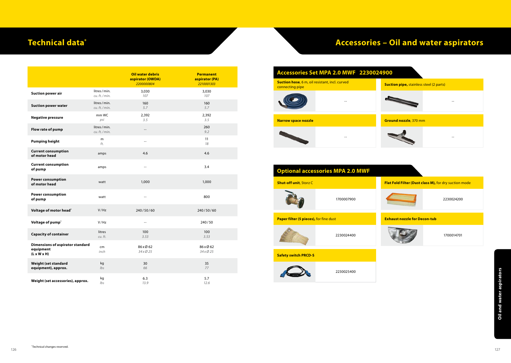## **Technical data\***

#### Neight (set accessories), approx.<br>
Weight (set accessories), approx.<br>
126 <sup>-</sup> Technical characteristics:<br>
126 - Technical characteristics:<br>
127 - Technical characteristics:<br>
127 - Technical characteristics:<br>
127 - Technica **Oil water debris aspirator (OWDA)** *2200000804* **Permanent aspirator (PA)** *2210001303* **Suction power air** litres/ min. *cu. ft./ min.* 3,030 *107* 3,030 *107* **Suction power water** litres/ min. *cu. ft./ min.* 160 *5.7* 160 *5.7* **Negative pressure** mm WC *psi* 2,392 *3.5* 2,392 *3.5* **Flow rate of pump** litres/ min.<br> *cu. ft./min. cu. ft./ min.* -- <sup>260</sup> *9.2* **Pumping height** <sup>m</sup> **m** 11<br>*ft.* 18 *18* **Current consumption of motor head** amps 4.6 4.6 **Current consumption of pump** amps amps amps and the settlement of the settlement of pump and the settlement of  $\frac{3.4}{3.4}$ **Power consumption of motor head** watt 1,000 1,000 1,000 1,000 1,000 1,000 1,000 1,000 1,000 1,000 1,000 1,000 1,000 1,000 1,000 1,000 1,000 1,000 1,000 1,000 1,000 1,000 1,000 1,000 1,000 1,000 1,000 1,000 1,000 1,000 1,000 1,000 1,000 1,0 **Power consumption of pump** watt the set of pump watt the set of pump of pump  $\sim$  800  $\sim$ **Voltage of motor head\* V**/Hz 240/50/60 240/50/60 240/50/60 **Voltage of pump<sup>\*</sup>**  $V/Hz$  -- 240/50 **Capacity of container** litres *cu. ft.* 100 *3.53* 100 *3.53* **Dimensions of aspirator standard equipment (L x W x H)** cm *inch* 86 xØ 62 *34 xØ 25* 86 xØ 62 *34 xØ 25* **Weight (set standard equipment), approx.** kg *lbs* 30 *66* 35 *77* **Weight (set accessories), approx.** kg *lbs* 6.3 *13.9* 5.7 *12.6*

## **Accessories – Oil and water aspirators**



**Safety switch PRCD-S** 2230025400